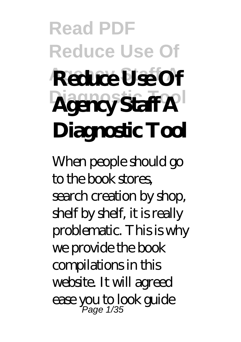# **Read PDF Reduce Use Of Agency Staff A Reduce Use Of**  $A$ **gency Staff A Diagnostic Tool**

When people should go to the book stores, search creation by shop, shelf by shelf, it is really problematic. This is why we provide the book compilations in this website. It will agreed ease you to look guide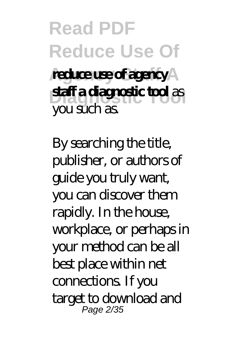### **Read PDF Reduce Use Of** reduce use of agency **Diagnostic Tool staff a diagnostic tool** as you such as.

By searching the title, publisher, or authors of guide you truly want, you can discover them rapidly. In the house, workplace, or perhaps in your method can be all best place within net connections. If you target to download and Page 2/35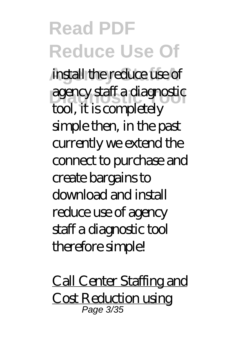**Read PDF Reduce Use Of** install the reduce use of **Diagnostic Tool** agency staff a diagnostic tool, it is completely simple then, in the past currently we extend the connect to purchase and create bargains to download and install reduce use of agency staff a diagnostic tool therefore simple!

Call Center Staffing and Cost Reduction using Page 3/35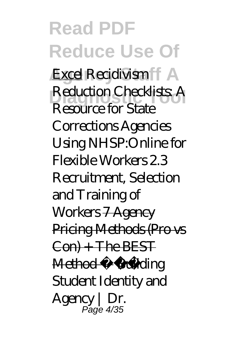**Read PDF Reduce Use Of** Excel *Recidivism* **Diagnostic Tool** *Reduction Checklists: A Resource for State Corrections Agencies Using NHSP:Online for Flexible Workers 2.3 Recruitment, Selection and Training of Workers* 7 Agency Pricing Methods (Pro vs Con) + The BEST Method Building Student Identity and Agency | Dr. Page 4/35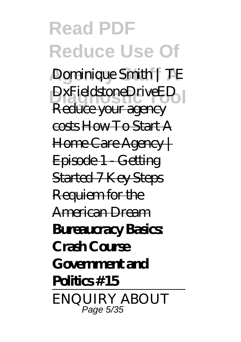#### **Read PDF Reduce Use Of Dominique Smith | TE** DxFieldstoneDriveED Reduce your agency costs How To Start A Home Care Agency | Episode 1 - Getting Started 7 Key Steps Requiem for the American Dream **Bureaucracy Basics Crash Course Government and Politics #15** ENQUIRY ABOUT Page 5/35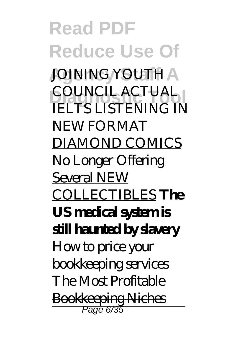**Read PDF Reduce Use Of JOINING YOUTH A COUNCIL ACTUAL IELTS LISTENING IN** NEW FORMAT DIAMOND COMICS No Longer Offering Several NEW COLLECTIBLES **The US medical system is still haunted by slavery** *How to price your bookkeeping services* The Most Profitable Bookkeeping Niches Page 6/35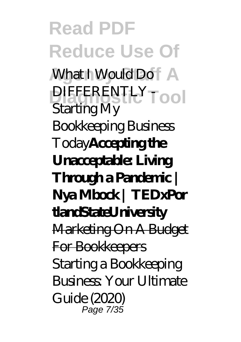**Read PDF Reduce Use Of Mhat I Would Do** DIFFERENTLY<sub>Tool</sub> Starting My Bookkeeping Business Today**Accepting the Unacceptable: Living Through a Pandemic | Nya Mbock | TEDxPor tlandStateUniversity** Marketing On A Budget For Bookkeepers Starting a Bookkeeping Business: Your Ultimate Guide (2020) Page 7/35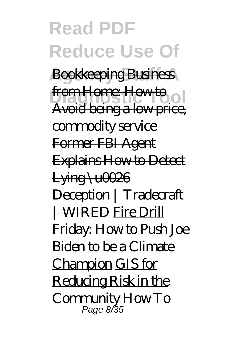**Read PDF Reduce Use Of Bookkeeping Business** from Home: How to ol Avoid being a low price, commodity service Former FBI Agent Explains How to Detect  $L$  ying  $\setminus$   $u$ 0026 Deception | Tradecraft | WIRED Fire Drill Friday: How to Push Joe Biden to be a Climate Champion GIS for Reducing Risk in the Community *How To* Page 8/35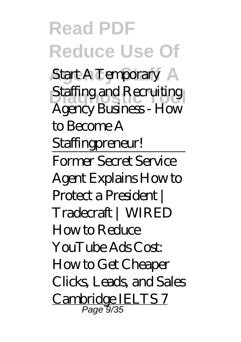**Read PDF Reduce Use Of** *Start A Temporary Staffing and Recruiting Agency Business - How to Become A Staffingpreneur!* Former Secret Service Agent Explains How to Protect a President | Tradecraft | WIRED How to Reduce YouTube Ads Cost: How to Get Cheaper Clicks, Leads, and Sales Cambridge IELTS 7 Page 9/35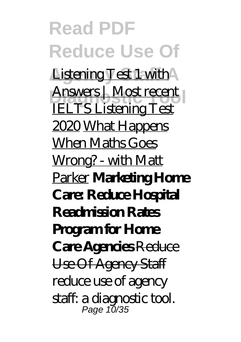**Read PDF Reduce Use Of** Listening Test 1 with **Answers | Most recent |** IELTS Listening Test 2020 What Happens When Maths Goes Wrong? - with Matt Parker **Marketing Home Care: Reduce Hospital Readmission Rates Program for Home Care Agencies** Reduce Use Of Agency Staff reduce use of agency staff: a diagnostic tool. Page 10/35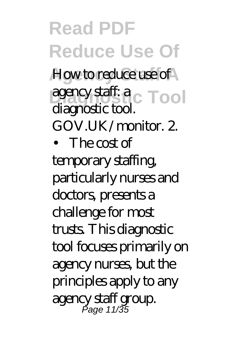**Read PDF Reduce Use Of** How to reduce use of agency staff: a<sub>c</sub> Tool diagnostic tool.

GOV.UK/monitor. 2.

• The cost of

temporary staffing, particularly nurses and doctors, presents a challenge for most trusts. This diagnostic tool focuses primarily on agency nurses, but the principles apply to any agency staff group. Page 11/35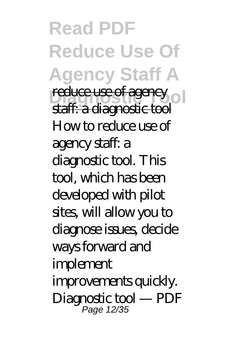**Read PDF Reduce Use Of Agency Staff A Preduce use of agency** staff: a diagnostic tool How to reduce use of agency staff: a diagnostic tool. This tool, which has been developed with pilot sites, will allow you to diagnose issues, decide ways forward and implement improvements quickly. Diagnostic tool — PDF Page 12/35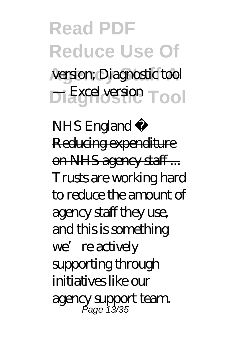## **Read PDF Reduce Use Of** version; Diagnostic tool **Diagnostic Tool** — Excel version

NHS England » Reducing expenditure on NHS agency staff ... Trusts are working hard to reduce the amount of agency staff they use, and this is something we're actively supporting through initiatives like our agency support team. Page 13/35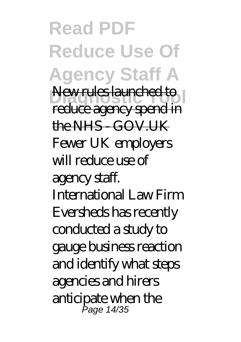**Read PDF Reduce Use Of Agency Staff A Diagnostic Tool** New rules launched to reduce agency spend in the NHS - GOV.UK Fewer UK employers will reduce use of agency staff. International Law Firm Eversheds has recently conducted a study to gauge business reaction and identify what steps agencies and hirers anticipate when the Page 14/35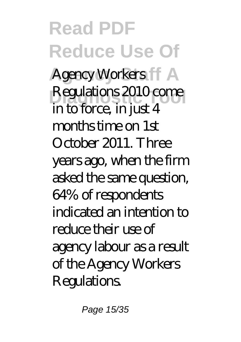**Read PDF Reduce Use Of** Agency Workers **FF** A Regulations 2010 come in to force, in just 4 months time on 1st October 2011. Three years ago, when the firm asked the same question, 64% of respondents indicated an intention to reduce their use of agency labour as a result of the Agency Workers **Regulations.** 

Page 15/35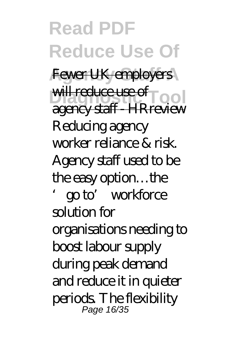**Read PDF Reduce Use Of** Fewer UK employers will reduce use of **pool** agency staff - HRreview Reducing agency worker reliance & risk. Agency staff used to be the easy option…the 'go to' workforce solution for organisations needing to boost labour supply during peak demand and reduce it in quieter periods. The flexibility Page 16/35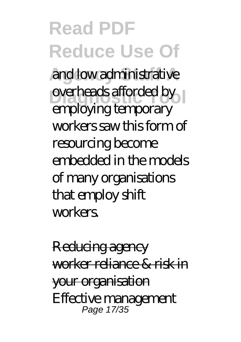**Read PDF Reduce Use Of** and low administrative **Discrete Tools** employing temporary workers saw this form of resourcing become embedded in the models of many organisations that employ shift workers.

Reducing agency worker reliance & risk in your organisation Effective management Page 17/35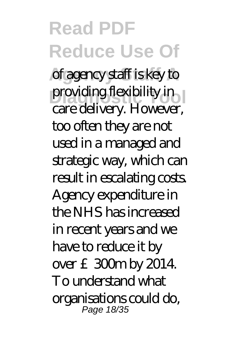**Read PDF Reduce Use Of** of agency staff is key to providing flexibility in care delivery. However, too often they are not used in a managed and strategic way, which can result in escalating costs. Agency expenditure in the NHS has increased in recent years and we have to reduce it by over £300m by 2014. To understand what organisations could do, Page 18/35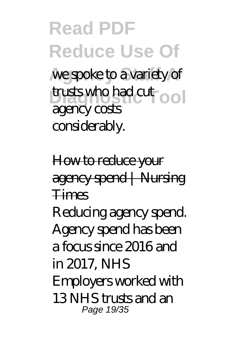**Read PDF Reduce Use Of** we spoke to a variety of trusts who had cut ool agency costs considerably.

How to reduce your agency spend | Nursing Times

Reducing agency spend. Agency spend has been a focus since 2016 and in 2017, NHS Employers worked with 13 NHS tn rds and an Page 19/35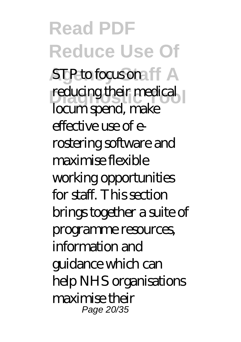**Read PDF Reduce Use Of STP** to focus one ff A reducing their medical locum spend, make effective use of erostering software and maximise flexible working opportunities for staff. This section brings together a suite of programme resources, information and guidance which can help NHS organisations maximise their Page 20/35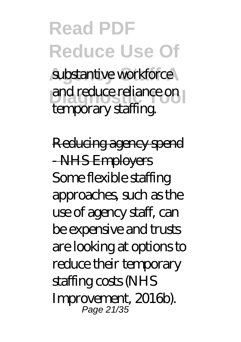### **Read PDF Reduce Use Of** substantive workforce and reduce reliance on temporary staffing.

Reducing agency spend - NHS Employers Some flexible staffing approaches, such as the use of agency staff, can be expensive and trusts are looking at options to reduce their temporary staffing costs (NHS Improvement, 2016b). Page 21/35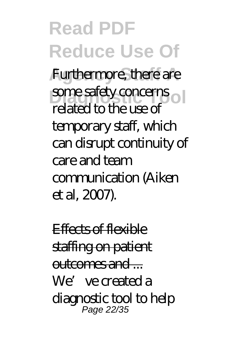**Read PDF Reduce Use Of** Furthermore, there are some safety concerns related to the use of temporary staff, which can disrupt continuity of care and team communication (Aiken et al, 2007).

Effects of flexible staffing on patient outcomes and ... We've created a diagnostic tool to help Page 22/35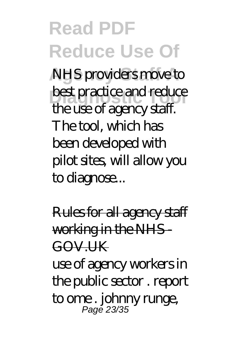**Read PDF Reduce Use Of NHS** providers move to best practice and reduce the use of agency staff. The tool, which has been developed with pilot sites, will allow you to diagnose...

Rules for all agency staff working in the NHS-GOV.UK use of agency workers in the public sector . report to ome . johnny runge, Pagĕ 23/35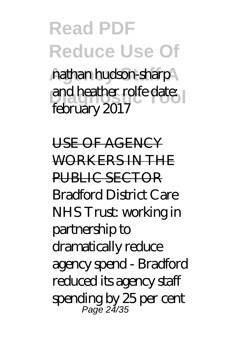### **Read PDF Reduce Use Of** nathan hudson-sharp and heather rolfe date: february 2017

USE OF AGENCY WORKERS IN THE PUBLIC SECTOR Bradford District Care NHS Trust: working in partnership to dramatically reduce agency spend - Bradford reduced its agency staff spending by 25 per cent Page 24/35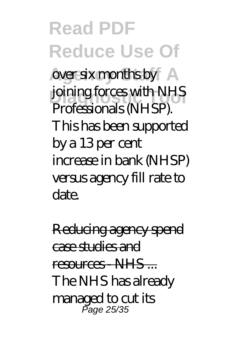**Read PDF Reduce Use Of** over six months by joining forces with NHS Professionals (NHSP). This has been supported by a 13 per cent increase in bank (NHSP) versus agency fill rate to date.

Reducing agency spend case studies and resources - NHS The NHS has already managed to cut its Page 25/35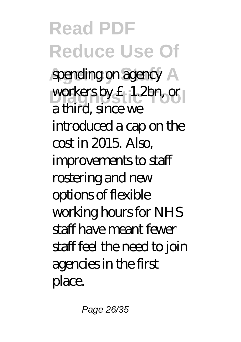**Read PDF Reduce Use Of** spending on agency A workers by £1.2bn, or a third, since we introduced a cap on the cost in 2015. Also, improvements to staff rostering and new options of flexible working hours for NHS staff have meant fewer staff feel the need to join agencies in the first place.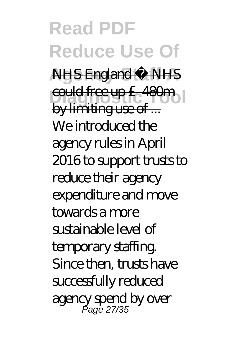**Read PDF Reduce Use Of Agency Staff A** NHS England » NHS **Diagnostic Tool** could free up £480m by limiting use of ... We introduced the agency rules in April 2016 to support trusts to reduce their agency expenditure and move towards a more sustainable level of temporary staffing. Since then, trusts have successfully reduced agency spend by over Page 27/35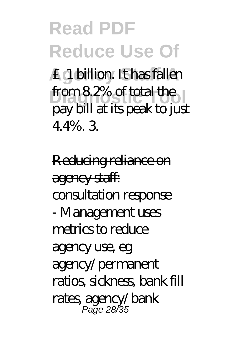### **Read PDF Reduce Use Of**

**Agency Staff A** £1 billion. It has fallen from 8.2% of total the pay bill at its peak to just 4.4%. 3.

Reducing reliance on agency staff: consultation response - Management uses metrics to reduce agency use, eg agency/permanent ratios, sickness, bank fill rates, agency/bank Page 28/35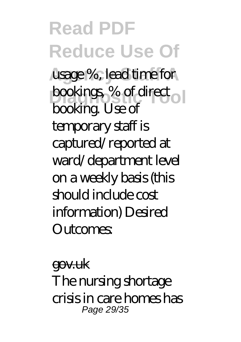**Read PDF Reduce Use Of** usage %, lead time for bookings, % of direct<sub>o</sub> booking. Use of temporary staff is captured/reported at ward/department level on a weekly basis (this should include cost information) Desired  $\Omega$ utcomes

gov.uk The nursing shortage crisis in care homes has Page 29/35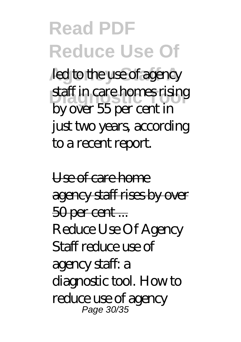#### **Read PDF Reduce Use Of** led to the use of agency staff in care homes rising by over 55 per cent in just two years, according

to a recent report.

Use of care home agency staff rises by over 50 per cent ... Reduce Use Of Agency Staff reduce use of agency staff: a diagnostic tool. How to reduce use of agency Page 30/35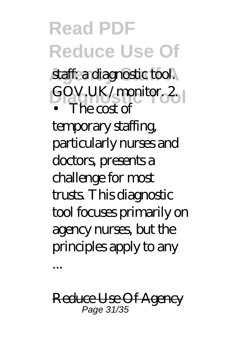### **Read PDF Reduce Use Of**

staff: a diagnostic tool. GOV.UK/monitor.2 • The cost of

temporary staffing, particularly nurses and doctors, presents a challenge for most trusts. This diagnostic tool focuses primarily on agency nurses, but the principles apply to any ...

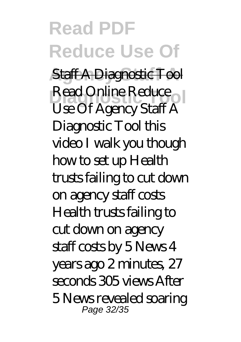#### **Read PDF Reduce Use Of Staff A Diagnostic Tool** Read Online Reduce Use Of Agency Staff A Diagnostic Tool this video I walk you though how to set up Health trusts failing to cut down on agency staff costs Health trusts failing to cut down on agency staff costs by 5 News 4 years ago 2 minutes, 27 seconds 305 views After 5 News revealed soaring Page 32/35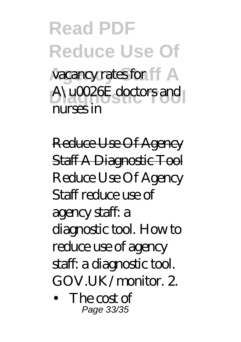### **Read PDF Reduce Use Of** vacancy rates for **A** A\u0026E doctors and nurses in

Reduce Use Of Agency Staff A Diagnostic Tool Reduce Use Of Agency Staff reduce use of agency staff: a diagnostic tool. How to reduce use of agency staff: a diagnostic tool. GOV.UK/monitor. 2.

• The cost of Page 33/35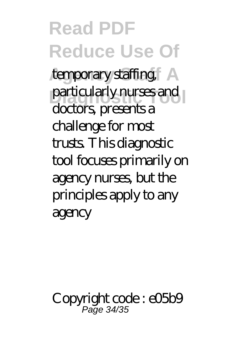**Read PDF Reduce Use Of** temporary staffing particularly nurses and doctors, presents a challenge for most trusts. This diagnostic tool focuses primarily on agency nurses, but the principles apply to any agency

Copyright code: e05b9 Page 34/35